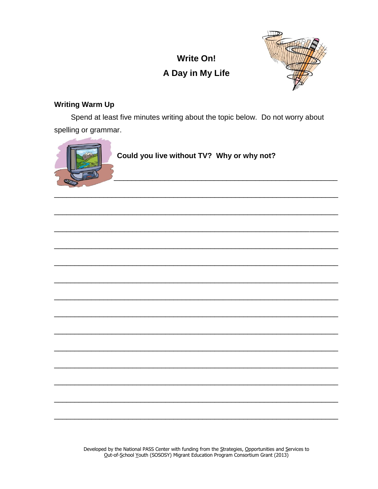# **Write On!** A Day in My Life



# **Writing Warm Up**

Spend at least five minutes writing about the topic below. Do not worry about spelling or grammar.



Could you live without TV? Why or why not?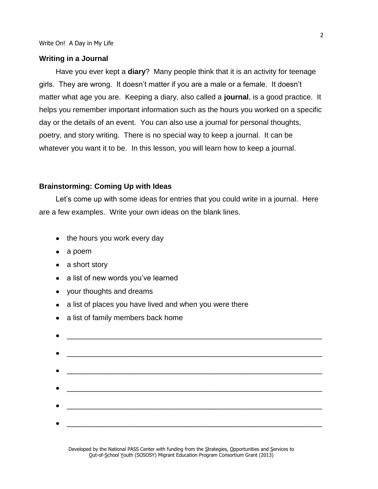### **Writing in a Journal**

Have you ever kept a **diary**? Many people think that it is an activity for teenage girls. They are wrong. It doesn't matter if you are a male or a female. It doesn't matter what age you are. Keeping a diary, also called a **journal**, is a good practice. It helps you remember important information such as the hours you worked on a specific day or the details of an event. You can also use a journal for personal thoughts, poetry, and story writing. There is no special way to keep a journal. It can be whatever you want it to be. In this lesson, you will learn how to keep a journal.

### **Brainstorming: Coming Up with Ideas**

Let's come up with some ideas for entries that you could write in a journal. Here are a few examples. Write your own ideas on the blank lines.

- the hours you work every day
- a poem
- a short story
- a list of new words you've learned
- your thoughts and dreams
- a list of places you have lived and when you were there
- a list of family members back home

| $\bullet$                                                                                                                                                                                                                                                                                                                                                                                                                                                                                    |  |  |
|----------------------------------------------------------------------------------------------------------------------------------------------------------------------------------------------------------------------------------------------------------------------------------------------------------------------------------------------------------------------------------------------------------------------------------------------------------------------------------------------|--|--|
|                                                                                                                                                                                                                                                                                                                                                                                                                                                                                              |  |  |
| $\bullet \quad \underbrace{\hspace{2.5cm}}$                                                                                                                                                                                                                                                                                                                                                                                                                                                  |  |  |
|                                                                                                                                                                                                                                                                                                                                                                                                                                                                                              |  |  |
| $\bullet$ $\underbrace{\hspace{1.5cm}}$                                                                                                                                                                                                                                                                                                                                                                                                                                                      |  |  |
|                                                                                                                                                                                                                                                                                                                                                                                                                                                                                              |  |  |
| $\bullet$                                                                                                                                                                                                                                                                                                                                                                                                                                                                                    |  |  |
|                                                                                                                                                                                                                                                                                                                                                                                                                                                                                              |  |  |
| $\bullet \quad \begin{tabular}{c} \multicolumn{3}{c} {\textbf{1}}\\ \multicolumn{3}{c} {\textbf{2}}\\ \multicolumn{3}{c} {\textbf{3}}\\ \multicolumn{3}{c} {\textbf{4}}\\ \multicolumn{3}{c} {\textbf{5}}\\ \multicolumn{3}{c} {\textbf{6}}\\ \multicolumn{3}{c} {\textbf{7}}\\ \multicolumn{3}{c} {\textbf{8}}\\ \multicolumn{3}{c} {\textbf{9}}\\ \multicolumn{3}{c} {\textbf{1}}\\ \multicolumn{3}{c} {\textbf{1}}\\ \multicolumn{3}{c} {\textbf{1}}\\ \multicolumn{3}{c} {\textbf{1}}\\$ |  |  |
|                                                                                                                                                                                                                                                                                                                                                                                                                                                                                              |  |  |
|                                                                                                                                                                                                                                                                                                                                                                                                                                                                                              |  |  |
|                                                                                                                                                                                                                                                                                                                                                                                                                                                                                              |  |  |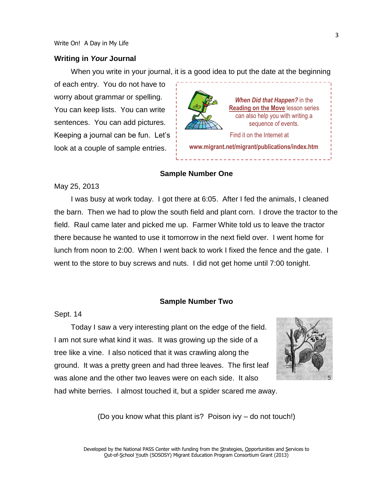## **Writing in** *Your* **Journal**

When you write in your journal, it is a good idea to put the date at the beginning

of each entry. You do not have to worry about grammar or spelling. You can keep lists. You can write sentences. You can add pictures. Keeping a journal can be fun. Let's look at a couple of sample entries.



### **Sample Number One**

May 25, 2013

I was busy at work today. I got there at 6:05. After I fed the animals, I cleaned the barn. Then we had to plow the south field and plant corn. I drove the tractor to the field. Raul came later and picked me up. Farmer White told us to leave the tractor there because he wanted to use it tomorrow in the next field over. I went home for lunch from noon to 2:00. When I went back to work I fixed the fence and the gate. I went to the store to buy screws and nuts. I did not get home until 7:00 tonight.

### **Sample Number Two**

Sept. 14

Today I saw a very interesting plant on the edge of the field. I am not sure what kind it was. It was growing up the side of a tree like a vine. I also noticed that it was crawling along the ground. It was a pretty green and had three leaves. The first leaf was alone and the other two leaves were on each side. It also had white berries. I almost touched it, but a spider scared me away.



(Do you know what this plant is? Poison ivy – do not touch!)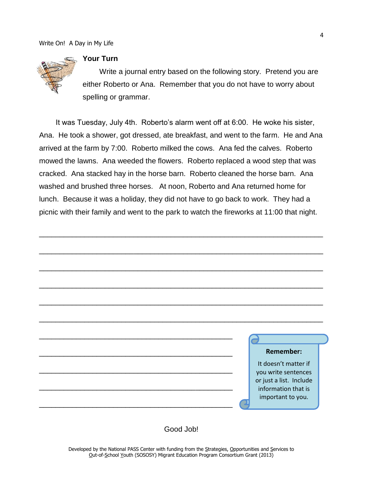## **Your Turn**

Write a journal entry based on the following story. Pretend you are either Roberto or Ana. Remember that you do not have to worry about spelling or grammar.

It was Tuesday, July 4th. Roberto's alarm went off at 6:00. He woke his sister, Ana. He took a shower, got dressed, ate breakfast, and went to the farm. He and Ana arrived at the farm by 7:00. Roberto milked the cows. Ana fed the calves. Roberto mowed the lawns. Ana weeded the flowers. Roberto replaced a wood step that was cracked. Ana stacked hay in the horse barn. Roberto cleaned the horse barn. Ana washed and brushed three horses. At noon, Roberto and Ana returned home for lunch. Because it was a holiday, they did not have to go back to work. They had a picnic with their family and went to the park to watch the fireworks at 11:00 that night.

\_\_\_\_\_\_\_\_\_\_\_\_\_\_\_\_\_\_\_\_\_\_\_\_\_\_\_\_\_\_\_\_\_\_\_\_\_\_\_\_\_\_\_\_\_\_\_\_\_\_\_\_\_\_\_\_\_\_\_\_\_\_\_\_\_\_\_\_\_

|  | <b>Remember:</b>                                                                              |
|--|-----------------------------------------------------------------------------------------------|
|  | It doesn't matter if<br>you write sentences<br>or just a list. Include<br>information that is |
|  | important to you.                                                                             |

Good Job!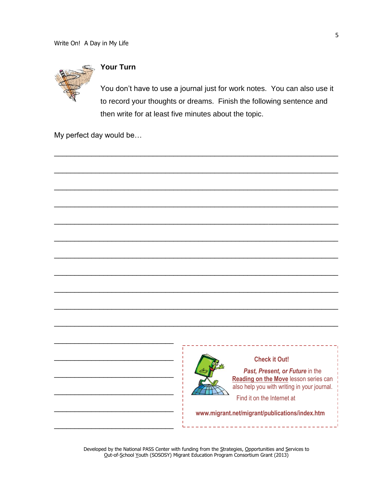

# **Your Turn**

You don't have to use a journal just for work notes. You can also use it to record your thoughts or dreams. Finish the following sentence and then write for at least five minutes about the topic.

My perfect day would be…

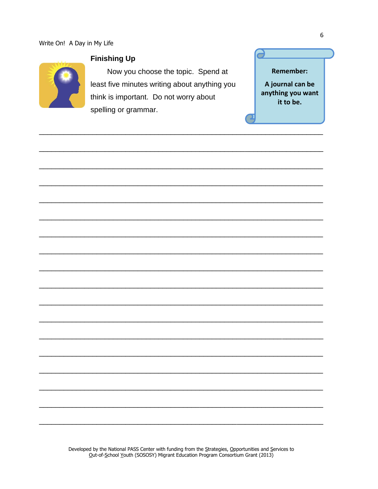

# **Finishing Up**

Now you choose the topic. Spend at least five minutes writing about anything you think is important. Do not worry about spelling or grammar.

**Remember:** A journal can be anything you want it to be.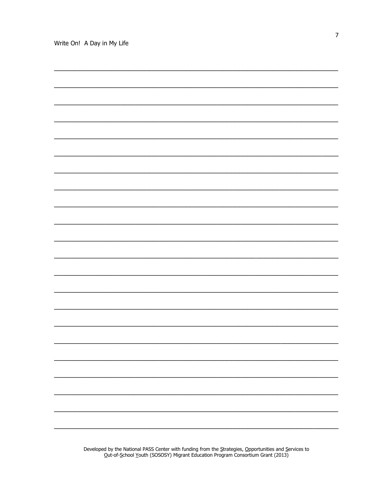| Write On! A Day in My Life |  |  |
|----------------------------|--|--|
|----------------------------|--|--|

 $\overline{\phantom{a}}$  $\overline{\phantom{0}}$